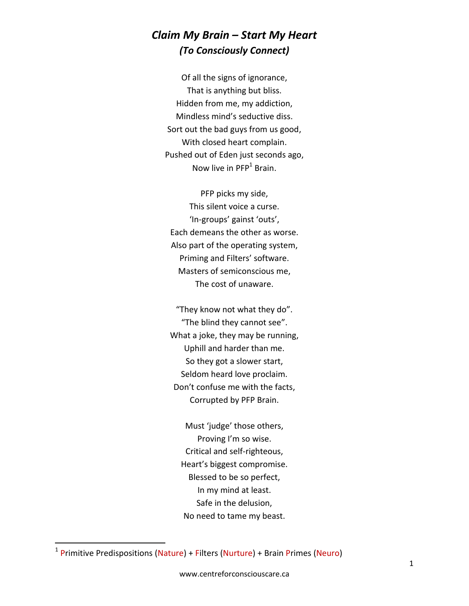## *Claim My Brain – Start My Heart (To Consciously Connect)*

Of all the signs of ignorance, That is anything but bliss. Hidden from me, my addiction, Mindless mind's seductive diss. Sort out the bad guys from us good, With closed heart complain. Pushed out of Eden just seconds ago, Now live in PFP<sup>1</sup> Brain.

PFP picks my side, This silent voice a curse. 'In-groups' gainst 'outs', Each demeans the other as worse. Also part of the operating system, Priming and Filters' software. Masters of semiconscious me, The cost of unaware.

"They know not what they do". "The blind they cannot see". What a joke, they may be running, Uphill and harder than me. So they got a slower start, Seldom heard love proclaim. Don't confuse me with the facts, Corrupted by PFP Brain.

Must 'judge' those others, Proving I'm so wise. Critical and self-righteous, Heart's biggest compromise. Blessed to be so perfect, In my mind at least. Safe in the delusion, No need to tame my beast.

 $\overline{a}$ 

<sup>&</sup>lt;sup>1</sup> Primitive Predispositions (Nature) + Filters (Nurture) + Brain Primes (Neuro)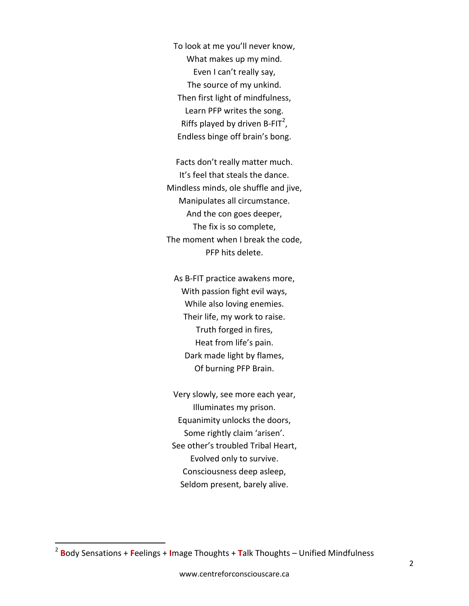To look at me you'll never know, What makes up my mind. Even I can't really say, The source of my unkind. Then first light of mindfulness, Learn PFP writes the song. Riffs played by driven B-FIT<sup>2</sup>, Endless binge off brain's bong.

Facts don't really matter much. It's feel that steals the dance. Mindless minds, ole shuffle and jive, Manipulates all circumstance. And the con goes deeper, The fix is so complete, The moment when I break the code, PFP hits delete.

As B-FIT practice awakens more, With passion fight evil ways, While also loving enemies. Their life, my work to raise. Truth forged in fires, Heat from life's pain. Dark made light by flames, Of burning PFP Brain.

Very slowly, see more each year, Illuminates my prison. Equanimity unlocks the doors, Some rightly claim 'arisen'. See other's troubled Tribal Heart, Evolved only to survive. Consciousness deep asleep, Seldom present, barely alive.

 $\overline{a}$ 

<sup>2</sup> **B**ody Sensations + **F**eelings + **I**mage Thoughts + **T**alk Thoughts – Unified Mindfulness